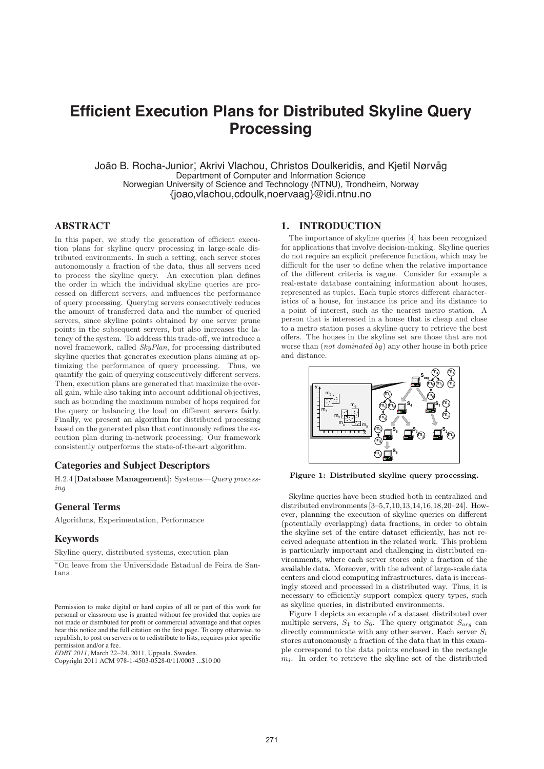# **Efficient Execution Plans for Distributed Skyline Query Processing**

João B. Rocha-Junior; Akrivi Vlachou, Christos Doulkeridis, and Kjetil Nørvåg Department of Computer and Information Science Norwegian University of Science and Technology (NTNU), Trondheim, Norway {joao,vlachou,cdoulk,noervaag}@idi.ntnu.no

### **ABSTRACT**

In this paper, we study the generation of efficient execution plans for skyline query processing in large-scale distributed environments. In such a setting, each server stores autonomously a fraction of the data, thus all servers need to process the skyline query. An execution plan defines the order in which the individual skyline queries are processed on different servers, and influences the performance of query processing. Querying servers consecutively reduces the amount of transferred data and the number of queried servers, since skyline points obtained by one server prune points in the subsequent servers, but also increases the latency of the system. To address this trade-off, we introduce a novel framework, called SkyPlan, for processing distributed skyline queries that generates execution plans aiming at optimizing the performance of query processing. Thus, we quantify the gain of querying consecutively different servers. Then, execution plans are generated that maximize the overall gain, while also taking into account additional objectives, such as bounding the maximum number of hops required for the query or balancing the load on different servers fairly. Finally, we present an algorithm for distributed processing based on the generated plan that continuously refines the execution plan during in-network processing. Our framework consistently outperforms the state-of-the-art algorithm.

### **Categories and Subject Descriptors**

H.2.4 [Database Management]: Systems—Query processing

### **General Terms**

Algorithms, Experimentation, Performance

### **Keywords**

Skyline query, distributed systems, execution plan

<sup>∗</sup>On leave from the Universidade Estadual de Feira de Santana.

*EDBT 2011*, March 22–24, 2011, Uppsala, Sweden.

Copyright 2011 ACM 978-1-4503-0528-0/11/0003 ...\$10.00

## **1. INTRODUCTION**

The importance of skyline queries [4] has been recognized for applications that involve decision-making. Skyline queries do not require an explicit preference function, which may be difficult for the user to define when the relative importance of the different criteria is vague. Consider for example a real-estate database containing information about houses, represented as tuples. Each tuple stores different characteristics of a house, for instance its price and its distance to a point of interest, such as the nearest metro station. A person that is interested in a house that is cheap and close to a metro station poses a skyline query to retrieve the best offers. The houses in the skyline set are those that are not worse than  $(not dominated by)$  any other house in both price and distance.



Figure 1: Distributed skyline query processing.

Skyline queries have been studied both in centralized and distributed environments [3–5,7,10,13,14,16,18,20–24]. However, planning the execution of skyline queries on different (potentially overlapping) data fractions, in order to obtain the skyline set of the entire dataset efficiently, has not received adequate attention in the related work. This problem is particularly important and challenging in distributed environments, where each server stores only a fraction of the available data. Moreover, with the advent of large-scale data centers and cloud computing infrastructures, data is increasingly stored and processed in a distributed way. Thus, it is necessary to efficiently support complex query types, such as skyline queries, in distributed environments.

Figure 1 depicts an example of a dataset distributed over multiple servers,  $S_1$  to  $S_6$ . The query originator  $S_{org}$  can directly communicate with any other server. Each server  $S_i$ stores autonomously a fraction of the data that in this example correspond to the data points enclosed in the rectangle  $m_i$ . In order to retrieve the skyline set of the distributed

Permission to make digital or hard copies of all or part of this work for personal or classroom use is granted without fee provided that copies are not made or distributed for profit or commercial advantage and that copies bear this notice and the full citation on the first page. To copy otherwise, to republish, to post on servers or to redistribute to lists, requires prior specific permission and/or a fee.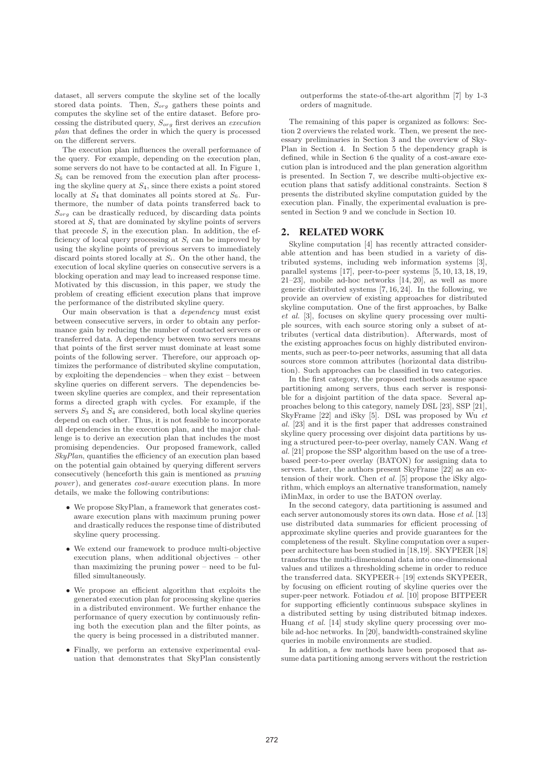dataset, all servers compute the skyline set of the locally stored data points. Then,  $S_{org}$  gathers these points and computes the skyline set of the entire dataset. Before processing the distributed query,  $S_{org}$  first derives an *execution* plan that defines the order in which the query is processed on the different servers.

The execution plan influences the overall performance of the query. For example, depending on the execution plan, some servers do not have to be contacted at all. In Figure 1,  $S<sub>6</sub>$  can be removed from the execution plan after processing the skyline query at  $S_4$ , since there exists a point stored locally at  $S_4$  that dominates all points stored at  $S_6$ . Furthermore, the number of data points transferred back to  $S_{org}$  can be drastically reduced, by discarding data points stored at  $S_i$  that are dominated by skyline points of servers that precede  $S_i$  in the execution plan. In addition, the efficiency of local query processing at  $S_i$  can be improved by using the skyline points of previous servers to immediately discard points stored locally at  $S_i$ . On the other hand, the execution of local skyline queries on consecutive servers is a blocking operation and may lead to increased response time. Motivated by this discussion, in this paper, we study the problem of creating efficient execution plans that improve the performance of the distributed skyline query.

Our main observation is that a dependency must exist between consecutive servers, in order to obtain any performance gain by reducing the number of contacted servers or transferred data. A dependency between two servers means that points of the first server must dominate at least some points of the following server. Therefore, our approach optimizes the performance of distributed skyline computation, by exploiting the dependencies – when they exist – between skyline queries on different servers. The dependencies between skyline queries are complex, and their representation forms a directed graph with cycles. For example, if the servers  $S_3$  and  $S_4$  are considered, both local skyline queries depend on each other. Thus, it is not feasible to incorporate all dependencies in the execution plan, and the major challenge is to derive an execution plan that includes the most promising dependencies. Our proposed framework, called SkyPlan, quantifies the efficiency of an execution plan based on the potential gain obtained by querying different servers consecutively (henceforth this gain is mentioned as pruning power), and generates cost-aware execution plans. In more details, we make the following contributions:

- We propose SkyPlan, a framework that generates costaware execution plans with maximum pruning power and drastically reduces the response time of distributed skyline query processing.
- We extend our framework to produce multi-objective execution plans, when additional objectives – other than maximizing the pruning power – need to be fulfilled simultaneously.
- We propose an efficient algorithm that exploits the generated execution plan for processing skyline queries in a distributed environment. We further enhance the performance of query execution by continuously refining both the execution plan and the filter points, as the query is being processed in a distributed manner.
- Finally, we perform an extensive experimental evaluation that demonstrates that SkyPlan consistently

outperforms the state-of-the-art algorithm [7] by 1-3 orders of magnitude.

The remaining of this paper is organized as follows: Section 2 overviews the related work. Then, we present the necessary preliminaries in Section 3 and the overview of Sky-Plan in Section 4. In Section 5 the dependency graph is defined, while in Section 6 the quality of a cost-aware execution plan is introduced and the plan generation algorithm is presented. In Section 7, we describe multi-objective execution plans that satisfy additional constraints. Section 8 presents the distributed skyline computation guided by the execution plan. Finally, the experimental evaluation is presented in Section 9 and we conclude in Section 10.

### **2. RELATED WORK**

Skyline computation [4] has recently attracted considerable attention and has been studied in a variety of distributed systems, including web information systems [3], parallel systems [17], peer-to-peer systems [5, 10, 13, 18, 19, 21–23], mobile ad-hoc networks [14, 20], as well as more generic distributed systems [7, 16, 24]. In the following, we provide an overview of existing approaches for distributed skyline computation. One of the first approaches, by Balke et al. [3], focuses on skyline query processing over multiple sources, with each source storing only a subset of attributes (vertical data distribution). Afterwards, most of the existing approaches focus on highly distributed environments, such as peer-to-peer networks, assuming that all data sources store common attributes (horizontal data distribution). Such approaches can be classified in two categories.

In the first category, the proposed methods assume space partitioning among servers, thus each server is responsible for a disjoint partition of the data space. Several approaches belong to this category, namely DSL [23], SSP [21], SkyFrame [22] and iSky [5]. DSL was proposed by Wu et al. [23] and it is the first paper that addresses constrained skyline query processing over disjoint data partitions by using a structured peer-to-peer overlay, namely CAN. Wang et al. [21] propose the SSP algorithm based on the use of a treebased peer-to-peer overlay (BATON) for assigning data to servers. Later, the authors present SkyFrame [22] as an extension of their work. Chen et al. [5] propose the iSky algorithm, which employs an alternative transformation, namely iMinMax, in order to use the BATON overlay.

In the second category, data partitioning is assumed and each server autonomously stores its own data. Hose *et al.* [13] use distributed data summaries for efficient processing of approximate skyline queries and provide guarantees for the completeness of the result. Skyline computation over a superpeer architecture has been studied in [18,19]. SKYPEER [18] transforms the multi-dimensional data into one-dimensional values and utilizes a thresholding scheme in order to reduce the transferred data. SKYPEER+ [19] extends SKYPEER, by focusing on efficient routing of skyline queries over the super-peer network. Fotiadou et al. [10] propose BITPEER for supporting efficiently continuous subspace skylines in a distributed setting by using distributed bitmap indexes. Huang et al. [14] study skyline query processing over mobile ad-hoc networks. In [20], bandwidth-constrained skyline queries in mobile environments are studied.

In addition, a few methods have been proposed that assume data partitioning among servers without the restriction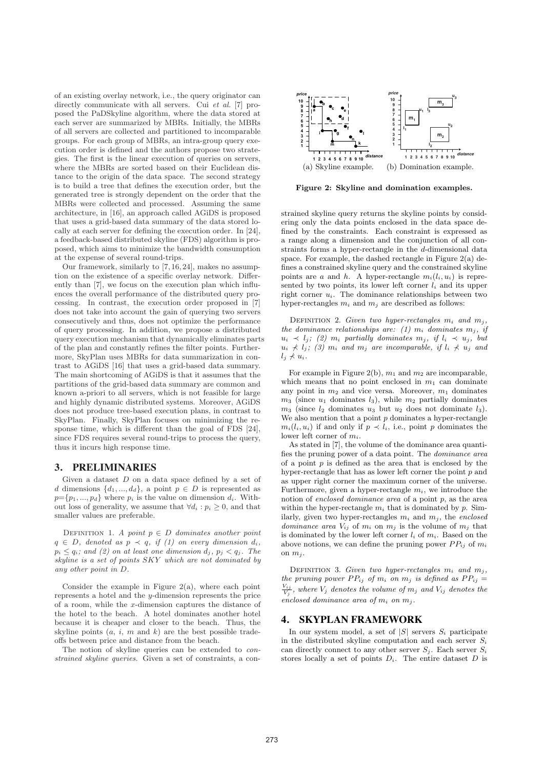of an existing overlay network, i.e., the query originator can directly communicate with all servers. Cui et al. [7] proposed the PaDSkyline algorithm, where the data stored at each server are summarized by MBRs. Initially, the MBRs of all servers are collected and partitioned to incomparable groups. For each group of MBRs, an intra-group query execution order is defined and the authors propose two strategies. The first is the linear execution of queries on servers, where the MBRs are sorted based on their Euclidean distance to the origin of the data space. The second strategy is to build a tree that defines the execution order, but the generated tree is strongly dependent on the order that the MBRs were collected and processed. Assuming the same architecture, in [16], an approach called AGiDS is proposed that uses a grid-based data summary of the data stored locally at each server for defining the execution order. In [24], a feedback-based distributed skyline (FDS) algorithm is proposed, which aims to minimize the bandwidth consumption at the expense of several round-trips.

Our framework, similarly to [7, 16, 24], makes no assumption on the existence of a specific overlay network. Differently than [7], we focus on the execution plan which influences the overall performance of the distributed query processing. In contrast, the execution order proposed in [7] does not take into account the gain of querying two servers consecutively and thus, does not optimize the performance of query processing. In addition, we propose a distributed query execution mechanism that dynamically eliminates parts of the plan and constantly refines the filter points. Furthermore, SkyPlan uses MBRs for data summarization in contrast to AGiDS [16] that uses a grid-based data summary. The main shortcoming of AGiDS is that it assumes that the partitions of the grid-based data summary are common and known a-priori to all servers, which is not feasible for large and highly dynamic distributed systems. Moreover, AGiDS does not produce tree-based execution plans, in contrast to SkyPlan. Finally, SkyPlan focuses on minimizing the response time, which is different than the goal of FDS [24], since FDS requires several round-trips to process the query, thus it incurs high response time.

### **3. PRELIMINARIES**

Given a dataset  $D$  on a data space defined by a set of d dimensions  $\{d_1, ..., d_d\}$ , a point  $p \in D$  is represented as  $p=\{p_1,..., p_d\}$  where  $p_i$  is the value on dimension  $d_i$ . Without loss of generality, we assume that  $\forall d_i : p_i \geq 0$ , and that smaller values are preferable.

DEFINITION 1. A point  $p \in D$  dominates another point  $q \in D$ , denoted as  $p \prec q$ , if (1) on every dimension  $d_i$ ,  $p_i \leq q_i$ ; and (2) on at least one dimension  $d_j$ ,  $p_j < q_j$ . The skyline is a set of points SKY which are not dominated by any other point in D.

Consider the example in Figure  $2(a)$ , where each point represents a hotel and the y-dimension represents the price of a room, while the  $x$ -dimension captures the distance of the hotel to the beach. A hotel dominates another hotel because it is cheaper and closer to the beach. Thus, the skyline points  $(a, i, m \text{ and } k)$  are the best possible tradeoffs between price and distance from the beach.

The notion of skyline queries can be extended to constrained skyline queries. Given a set of constraints, a con-



Figure 2: Skyline and domination examples.

strained skyline query returns the skyline points by considering only the data points enclosed in the data space defined by the constraints. Each constraint is expressed as a range along a dimension and the conjunction of all constraints forms a hyper-rectangle in the d-dimensional data space. For example, the dashed rectangle in Figure  $2(a)$  defines a constrained skyline query and the constrained skyline points are a and h. A hyper-rectangle  $m_i(l_i, u_i)$  is represented by two points, its lower left corner  $l_i$  and its upper right corner  $u_i$ . The dominance relationships between two hyper-rectangles  $m_i$  and  $m_j$  are described as follows:

DEFINITION 2. Given two hyper-rectangles  $m_i$  and  $m_j$ , the dominance relationships are: (1)  $m_i$  dominates  $m_j$ , if  $u_i \prec l_j$ ; (2)  $m_i$  partially dominates  $m_j$ , if  $l_i \prec u_j$ , but  $u_i \nless l_j$ ; (3)  $m_i$  and  $m_j$  are incomparable, if  $l_i \nless u_j$  and  $l_i \nprec u_i$ .

For example in Figure 2(b),  $m_1$  and  $m_2$  are incomparable, which means that no point enclosed in  $m_1$  can dominate any point in  $m_2$  and vice versa. Moreover,  $m_1$  dominates  $m_3$  (since  $u_1$  dominates  $l_3$ ), while  $m_2$  partially dominates  $m_3$  (since  $l_2$  dominates  $u_3$  but  $u_2$  does not dominate  $l_3$ ). We also mention that a point  $p$  dominates a hyper-rectangle  $m_i(l_i, u_i)$  if and only if  $p \prec l_i$ , i.e., point p dominates the lower left corner of  $m_i$ .

As stated in [7], the volume of the dominance area quantifies the pruning power of a data point. The dominance area of a point  $p$  is defined as the area that is enclosed by the hyper-rectangle that has as lower left corner the point p and as upper right corner the maximum corner of the universe. Furthermore, given a hyper-rectangle  $m_i$ , we introduce the notion of *enclosed dominance area* of a point p, as the area within the hyper-rectangle  $m_i$  that is dominated by  $p$ . Similarly, given two hyper-rectangles  $m_i$  and  $m_j$ , the enclosed *dominance area*  $V_{ij}$  of  $m_i$  on  $m_j$  is the volume of  $m_j$  that is dominated by the lower left corner  $l_i$  of  $m_i$ . Based on the above notions, we can define the pruning power  $PP_{ij}$  of  $m_i$ on  $m_j$ .

DEFINITION 3. Given two hyper-rectangles  $m_i$  and  $m_j$ , the pruning power  $PP_{ij}$  of  $m_i$  on  $m_j$  is defined as  $PP_{ij} =$  $\frac{V_{ij}}{V_j}$ , where  $V_j$  denotes the volume of  $m_j$  and  $V_{ij}$  denotes the enclosed dominance area of  $m_i$  on  $m_j$ .

### **4. SKYPLAN FRAMEWORK**

In our system model, a set of  $|S|$  servers  $S_i$  participate in the distributed skyline computation and each server  $S_i$ can directly connect to any other server  $S_i$ . Each server  $S_i$ stores locally a set of points  $D_i$ . The entire dataset D is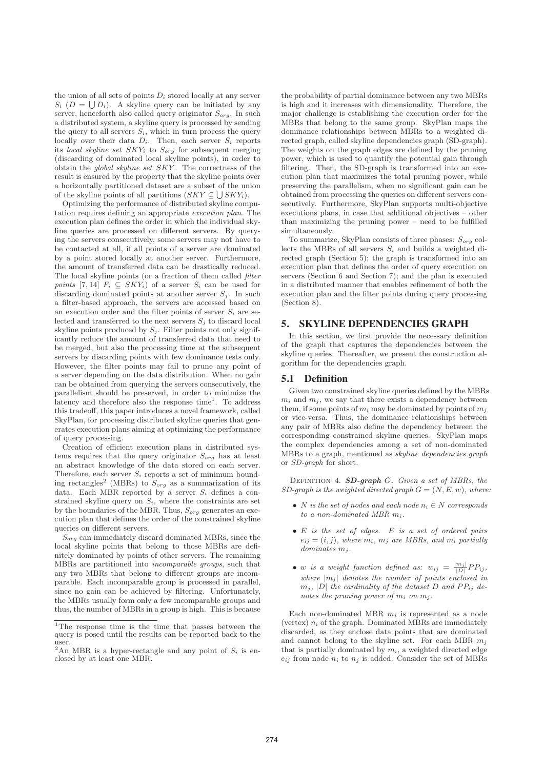the union of all sets of points  $D_i$  stored locally at any server  $S_i$   $(D = \bigcup D_i)$ . A skyline query can be initiated by any server, henceforth also called query originator  $S_{org}$ . In such a distributed system, a skyline query is processed by sending the query to all servers  $S_i$ , which in turn process the query locally over their data  $D_i$ . Then, each server  $S_i$  reports its local skyline set  $SKY_i$  to  $S_{org}$  for subsequent merging (discarding of dominated local skyline points), in order to obtain the *global skyline set*  $SKY$ . The correctness of the result is ensured by the property that the skyline points over a horizontally partitioned dataset are a subset of the union of the skyline points of all partitions  $(SKY \subseteq \bigcup SKY_i)$ .

Optimizing the performance of distributed skyline computation requires defining an appropriate execution plan. The execution plan defines the order in which the individual skyline queries are processed on different servers. By querying the servers consecutively, some servers may not have to be contacted at all, if all points of a server are dominated by a point stored locally at another server. Furthermore, the amount of transferred data can be drastically reduced. The local skyline points (or a fraction of them called *filter* points [7, 14]  $F_i \subseteq SKY_i$  of a server  $S_i$  can be used for discarding dominated points at another server  $S_i$ . In such a filter-based approach, the servers are accessed based on an execution order and the filter points of server  $S_i$  are selected and transferred to the next servers  $S_i$  to discard local skyline points produced by  $S_j$ . Filter points not only significantly reduce the amount of transferred data that need to be merged, but also the processing time at the subsequent servers by discarding points with few dominance tests only. However, the filter points may fail to prune any point of a server depending on the data distribution. When no gain can be obtained from querying the servers consecutively, the parallelism should be preserved, in order to minimize the latency and therefore also the response time<sup>1</sup>. To address this tradeoff, this paper introduces a novel framework, called SkyPlan, for processing distributed skyline queries that generates execution plans aiming at optimizing the performance of query processing.

Creation of efficient execution plans in distributed systems requires that the query originator  $S_{org}$  has at least an abstract knowledge of the data stored on each server. Therefore, each server  $S_i$  reports a set of minimum bounding rectangles<sup>2</sup> (MBRs) to  $S_{org}$  as a summarization of its data. Each MBR reported by a server  $S_i$  defines a constrained skyline query on  $S_i$ , where the constraints are set by the boundaries of the MBR. Thus,  $S_{org}$  generates an execution plan that defines the order of the constrained skyline queries on different servers.

 $S_{org}$  can immediately discard dominated MBRs, since the local skyline points that belong to those MBRs are definitely dominated by points of other servers. The remaining MBRs are partitioned into incomparable groups, such that any two MBRs that belong to different groups are incomparable. Each incomparable group is processed in parallel, since no gain can be achieved by filtering. Unfortunately, the MBRs usually form only a few incomparable groups and thus, the number of MBRs in a group is high. This is because the probability of partial dominance between any two MBRs is high and it increases with dimensionality. Therefore, the major challenge is establishing the execution order for the MBRs that belong to the same group. SkyPlan maps the dominance relationships between MBRs to a weighted directed graph, called skyline dependencies graph (SD-graph). The weights on the graph edges are defined by the pruning power, which is used to quantify the potential gain through filtering. Then, the SD-graph is transformed into an execution plan that maximizes the total pruning power, while preserving the parallelism, when no significant gain can be obtained from processing the queries on different servers consecutively. Furthermore, SkyPlan supports multi-objective executions plans, in case that additional objectives – other than maximizing the pruning power – need to be fulfilled simultaneously.

To summarize, SkyPlan consists of three phases:  $S_{org}$  collects the MBRs of all servers  $S_i$  and builds a weighted directed graph (Section 5); the graph is transformed into an execution plan that defines the order of query execution on servers (Section 6 and Section 7); and the plan is executed in a distributed manner that enables refinement of both the execution plan and the filter points during query processing (Section 8).

### **5. SKYLINE DEPENDENCIES GRAPH**

In this section, we first provide the necessary definition of the graph that captures the dependencies between the skyline queries. Thereafter, we present the construction algorithm for the dependencies graph.

### **5.1 Definition**

Given two constrained skyline queries defined by the MBRs  $m_i$  and  $m_j$ , we say that there exists a dependency between them, if some points of  $m_i$  may be dominated by points of  $m_j$ or vice-versa. Thus, the dominance relationships between any pair of MBRs also define the dependency between the corresponding constrained skyline queries. SkyPlan maps the complex dependencies among a set of non-dominated MBRs to a graph, mentioned as skyline dependencies graph or SD-graph for short.

DEFINITION 4.  $SD\text{-}graph G$ . Given a set of MBRs, the SD-graph is the weighted directed graph  $G = (N, E, w)$ , where:

- N is the set of nodes and each node  $n_i \in N$  corresponds to a non-dominated MBR  $m_i$ .
- $\bullet$  E is the set of edges. E is a set of ordered pairs  $e_{ij} = (i, j)$ , where  $m_i$ ,  $m_j$  are MBRs, and  $m_i$  partially dominates  $m_j$ .
- w is a weight function defined as:  $w_{ij} = \frac{|m_j|}{|D|} P P_{ij}$ , where  $|m_j|$  denotes the number of points enclosed in  $m_i$ , |D| the cardinality of the dataset D and  $PP_{ij}$  denotes the pruning power of  $m_i$  on  $m_j$ .

Each non-dominated MBR  $m_i$  is represented as a node (vertex)  $n_i$  of the graph. Dominated MBRs are immediately discarded, as they enclose data points that are dominated and cannot belong to the skyline set. For each MBR  $m_i$ that is partially dominated by  $m_i$ , a weighted directed edge  $e_{ij}$  from node  $n_i$  to  $n_j$  is added. Consider the set of MBRs

<sup>1</sup>The response time is the time that passes between the query is posed until the results can be reported back to the user.

<sup>&</sup>lt;sup>2</sup>An MBR is a hyper-rectangle and any point of  $S_i$  is enclosed by at least one MBR.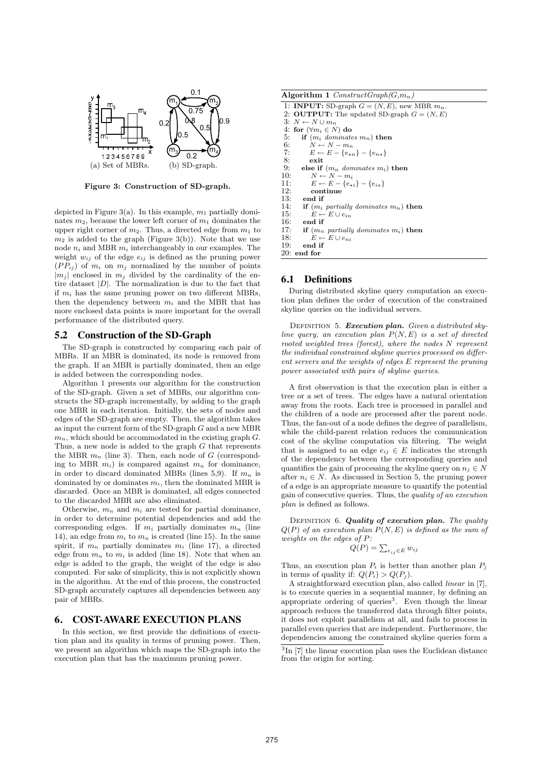

Figure 3: Construction of SD-graph.

depicted in Figure 3(a). In this example,  $m_1$  partially dominates  $m_2$ , because the lower left corner of  $m_1$  dominates the upper right corner of  $m_2$ . Thus, a directed edge from  $m_1$  to  $m_2$  is added to the graph (Figure 3(b)). Note that we use node  $n_i$  and MBR  $m_i$  interchangeably in our examples. The weight  $w_{ij}$  of the edge  $e_{ij}$  is defined as the pruning power  $(PP_{ij})$  of  $m_i$  on  $m_j$  normalized by the number of points  $|m_j|$  enclosed in  $m_j$  divided by the cardinality of the entire dataset  $|D|$ . The normalization is due to the fact that if  $m_i$  has the same pruning power on two different MBRs, then the dependency between  $m_i$  and the MBR that has more enclosed data points is more important for the overall performance of the distributed query.

### **5.2 Construction of the SD-Graph**

The SD-graph is constructed by comparing each pair of MBRs. If an MBR is dominated, its node is removed from the graph. If an MBR is partially dominated, then an edge is added between the corresponding nodes.

Algorithm 1 presents our algorithm for the construction of the SD-graph. Given a set of MBRs, our algorithm constructs the SD-graph incrementally, by adding to the graph one MBR in each iteration. Initially, the sets of nodes and edges of the SD-graph are empty. Then, the algorithm takes as input the current form of the SD-graph  $G$  and a new MBR  $m_n$ , which should be accommodated in the existing graph  $G$ . Thus, a new node is added to the graph  $G$  that represents the MBR  $m_n$  (line 3). Then, each node of G (corresponding to MBR  $m_i$ ) is compared against  $m_n$  for dominance, in order to discard dominated MBRs (lines 5,9). If  $m_n$  is dominated by or dominates  $m_i$ , then the dominated MBR is discarded. Once an MBR is dominated, all edges connected to the discarded MBR are also eliminated.

Otherwise,  $m_n$  and  $m_i$  are tested for partial dominance, in order to determine potential dependencies and add the corresponding edges. If  $m_i$  partially dominates  $m_n$  (line 14), an edge from  $m_i$  to  $m_n$  is created (line 15). In the same spirit, if  $m_n$  partially dominates  $m_i$  (line 17), a directed edge from  $m_n$  to  $m_i$  is added (line 18). Note that when an edge is added to the graph, the weight of the edge is also computed. For sake of simplicity, this is not explicitly shown in the algorithm. At the end of this process, the constructed SD-graph accurately captures all dependencies between any pair of MBRs.

### **6. COST-AWARE EXECUTION PLANS**

In this section, we first provide the definitions of execution plan and its quality in terms of pruning power. Then, we present an algorithm which maps the SD-graph into the execution plan that has the maximum pruning power.

Algorithm 1  $ConstructGraph(G,m_n)$ 

```
1: INPUT: SD-graph G = (N, E), new MBR m_n.
 2: OUTPUT: The updated SD-graph G = (N, E)3: N \leftarrow N \cup m_n4: for (\forall m_i \in N) do<br>5: if (m_i \; dominate)5: if (m_i \text{ dominates } m_n) then<br>6: N \leftarrow N - m_n6: N \leftarrow N - m_n<br>7. E \leftarrow E - \ell e_m7: E \leftarrow E - \{e_{\star n}\} - \{e_{n\star}\}8: exit<br>9: else if
9: else if (m_n \text{ dominates } m_i) then<br>10: N \leftarrow N - m_i10: N \leftarrow N - m_i11: E \leftarrow E - \{e_{\star i}\} - \{e_{i\star}\}12: continue<br>13: end if
13: end if<br>14: if (m_i)14: if (m_i partially dominates m_n) then<br>15: E \leftarrow E \cup e_{in}15: E \leftarrow E \cup e_{in}<br>16: end if
16: end if<br>17: if (m_1)17: if (m_n \text{ partially dominates } m_i) then<br>18: E \leftarrow E \cup e_{ni}18: E \leftarrow E \cup e_{ni}<br>19: end if
```
end if 20: end for

# **6.1 Definitions**

During distributed skyline query computation an execution plan defines the order of execution of the constrained skyline queries on the individual servers.

DEFINITION 5. Execution plan. Given a distributed skyline query, an execution plan  $P(N, E)$  is a set of directed rooted weighted trees (forest), where the nodes N represent the individual constrained skyline queries processed on different servers and the weights of edges E represent the pruning power associated with pairs of skyline queries.

A first observation is that the execution plan is either a tree or a set of trees. The edges have a natural orientation away from the roots. Each tree is processed in parallel and the children of a node are processed after the parent node. Thus, the fan-out of a node defines the degree of parallelism, while the child-parent relation reduces the communication cost of the skyline computation via filtering. The weight that is assigned to an edge  $e_{ij} \in E$  indicates the strength of the dependency between the corresponding queries and quantifies the gain of processing the skyline query on  $n_i \in N$ after  $n_i \in N$ . As discussed in Section 5, the pruning power of a edge is an appropriate measure to quantify the potential gain of consecutive queries. Thus, the quality of an execution plan is defined as follows.

DEFINITION 6. Quality of execution plan. The quality  $Q(P)$  of an execution plan  $P(N, E)$  is defined as the sum of weights on the edges of P:

$$
Q(P) = \sum_{e_{ij} \in E} w_{ij}
$$

Thus, an execution plan  $P_i$  is better than another plan  $P_i$ in terms of quality if:  $Q(P_i) > Q(P_j)$ .

A straightforward execution plan, also called linear in [7], is to execute queries in a sequential manner, by defining an appropriate ordering of queries<sup>3</sup>. Even though the linear approach reduces the transferred data through filter points, it does not exploit parallelism at all, and fails to process in parallel even queries that are independent. Furthermore, the dependencies among the constrained skyline queries form a

 ${}^{3}{\rm In}$  [7] the linear execution plan uses the Euclidean distance from the origin for sorting.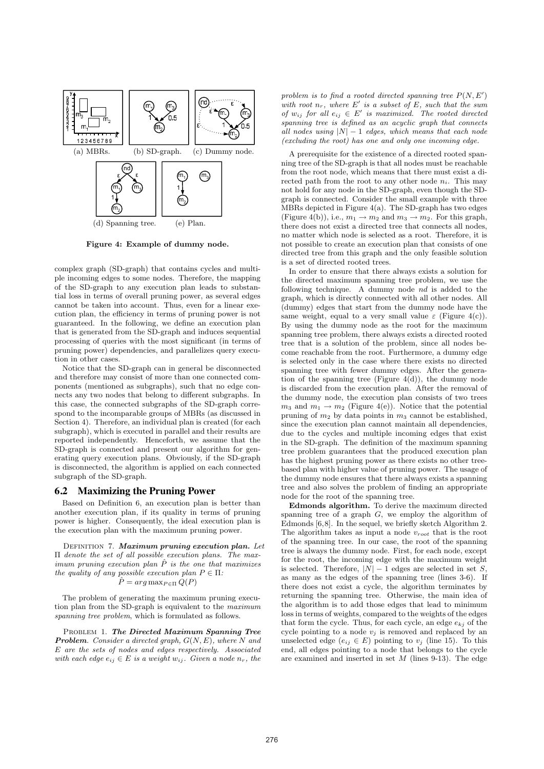

Figure 4: Example of dummy node.

complex graph (SD-graph) that contains cycles and multiple incoming edges to some nodes. Therefore, the mapping of the SD-graph to any execution plan leads to substantial loss in terms of overall pruning power, as several edges cannot be taken into account. Thus, even for a linear execution plan, the efficiency in terms of pruning power is not guaranteed. In the following, we define an execution plan that is generated from the SD-graph and induces sequential processing of queries with the most significant (in terms of pruning power) dependencies, and parallelizes query execution in other cases.

Notice that the SD-graph can in general be disconnected and therefore may consist of more than one connected components (mentioned as subgraphs), such that no edge connects any two nodes that belong to different subgraphs. In this case, the connected subgraphs of the SD-graph correspond to the incomparable groups of MBRs (as discussed in Section 4). Therefore, an individual plan is created (for each subgraph), which is executed in parallel and their results are reported independently. Henceforth, we assume that the SD-graph is connected and present our algorithm for generating query execution plans. Obviously, if the SD-graph is disconnected, the algorithm is applied on each connected subgraph of the SD-graph.

### **6.2 Maximizing the Pruning Power**

Based on Definition 6, an execution plan is better than another execution plan, if its quality in terms of pruning power is higher. Consequently, the ideal execution plan is the execution plan with the maximum pruning power.

DEFINITION 7. Maximum pruning execution plan. Let Π denote the set of all possible execution plans. The maximum pruning execution plan  $\hat{P}$  is the one that maximizes the quality of any possible execution plan  $P \in \Pi$ :  $\hat{P} = arg \max_{P \in \Pi} Q(P)$ 

The problem of generating the maximum pruning execution plan from the SD-graph is equivalent to the maximum spanning tree problem, which is formulated as follows.

PROBLEM 1. The Directed Maximum Spanning Tree **Problem.** Consider a directed graph,  $G(N, E)$ , where N and E are the sets of nodes and edges respectively. Associated with each edge  $e_{ij} \in E$  is a weight  $w_{ij}$ . Given a node  $n_r$ , the

problem is to find a rooted directed spanning tree  $P(N, E')$ with root  $n_r$ , where E' is a subset of E, such that the sum of  $w_{ij}$  for all  $e_{ij} \in E'$  is maximized. The rooted directed spanning tree is defined as an acyclic graph that connects all nodes using  $|N| - 1$  edges, which means that each node (excluding the root) has one and only one incoming edge.

A prerequisite for the existence of a directed rooted spanning tree of the SD-graph is that all nodes must be reachable from the root node, which means that there must exist a directed path from the root to any other node  $n_i$ . This may not hold for any node in the SD-graph, even though the SDgraph is connected. Consider the small example with three  $MBRs$  depicted in Figure 4(a). The SD-graph has two edges (Figure 4(b)), i.e.,  $m_1 \rightarrow m_2$  and  $m_3 \rightarrow m_2$ . For this graph, there does not exist a directed tree that connects all nodes, no matter which node is selected as a root. Therefore, it is not possible to create an execution plan that consists of one directed tree from this graph and the only feasible solution is a set of directed rooted trees.

In order to ensure that there always exists a solution for the directed maximum spanning tree problem, we use the following technique. A dummy node nd is added to the graph, which is directly connected with all other nodes. All (dummy) edges that start from the dummy node have the same weight, equal to a very small value  $\varepsilon$  (Figure 4(c)). By using the dummy node as the root for the maximum spanning tree problem, there always exists a directed rooted tree that is a solution of the problem, since all nodes become reachable from the root. Furthermore, a dummy edge is selected only in the case where there exists no directed spanning tree with fewer dummy edges. After the generation of the spanning tree (Figure  $4(d)$ ), the dummy node is discarded from the execution plan. After the removal of the dummy node, the execution plan consists of two trees  $m_3$  and  $m_1 \rightarrow m_2$  (Figure 4(e)). Notice that the potential pruning of  $m_2$  by data points in  $m_3$  cannot be established, since the execution plan cannot maintain all dependencies, due to the cycles and multiple incoming edges that exist in the SD-graph. The definition of the maximum spanning tree problem guarantees that the produced execution plan has the highest pruning power as there exists no other treebased plan with higher value of pruning power. The usage of the dummy node ensures that there always exists a spanning tree and also solves the problem of finding an appropriate node for the root of the spanning tree.

Edmonds algorithm. To derive the maximum directed spanning tree of a graph  $G$ , we employ the algorithm of Edmonds [6,8]. In the sequel, we briefly sketch Algorithm 2. The algorithm takes as input a node  $v_{root}$  that is the root of the spanning tree. In our case, the root of the spanning tree is always the dummy node. First, for each node, except for the root, the incoming edge with the maximum weight is selected. Therefore,  $|N| - 1$  edges are selected in set S, as many as the edges of the spanning tree (lines 3-6). If there does not exist a cycle, the algorithm terminates by returning the spanning tree. Otherwise, the main idea of the algorithm is to add those edges that lead to minimum loss in terms of weights, compared to the weights of the edges that form the cycle. Thus, for each cycle, an edge  $e_{kj}$  of the cycle pointing to a node  $v_j$  is removed and replaced by an unselected edge  $(e_{ij} \in E)$  pointing to  $v_j$  (line 15). To this end, all edges pointing to a node that belongs to the cycle are examined and inserted in set  $M$  (lines 9-13). The edge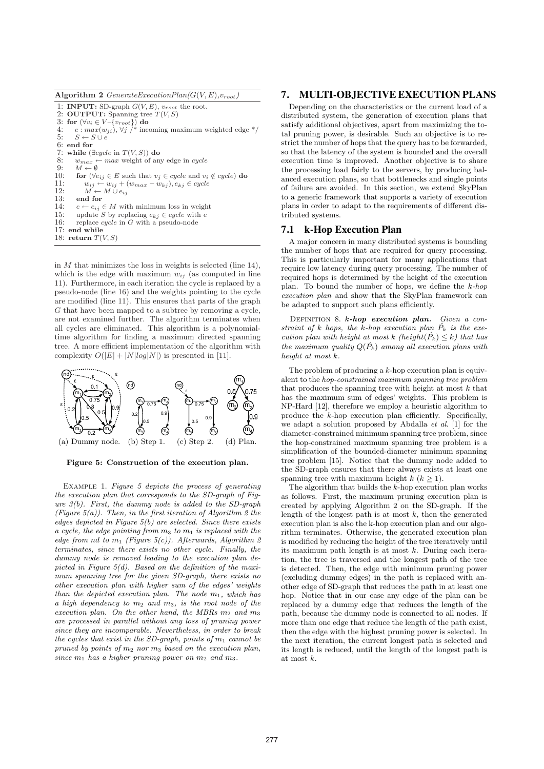|  |  | <b>Algorithm 2</b> GenerateExecutionPlan( $G(V, E), v_{root}$ ) |  |
|--|--|-----------------------------------------------------------------|--|
|--|--|-----------------------------------------------------------------|--|

| <b>Algorithm 2</b> Generate Execution $Plan(G(V, E), v_{root})$                        |
|----------------------------------------------------------------------------------------|
| 1: <b>INPUT:</b> SD-graph $G(V, E)$ , $v_{root}$ the root.                             |
| 2: OUTPUT: Spanning tree $T(V, S)$                                                     |
| 3: for $(\forall v_i \in V \setminus \{v_{root}\})$ do                                 |
| 4: $e: max(w_{ii}), \forall j \neq j$ incoming maximum weighted edge */                |
| 5: $S \leftarrow S \cup e$                                                             |
| $6:$ end for                                                                           |
| 7: while $(\exists cycle \text{ in } T(V, S))$ do                                      |
| 8:<br>$w_{max} \leftarrow max$ weight of any edge in cycle                             |
| 9:<br>$M \leftarrow \emptyset$                                                         |
| 10:<br>for $(\forall e_{ij} \in E$ such that $v_i \in cycle$ and $v_i \notin cycle$ do |
| 11:<br>$w_{ij} \leftarrow w_{ij} + (w_{max} - w_{kj}), e_{ki} \in cycle$               |
| 12:<br>$M \leftarrow M \cup e_{ij}$                                                    |
| 13:<br>end for                                                                         |
| 14:<br>$e \leftarrow e_{ij} \in M$ with minimum loss in weight                         |
| 15:<br>update S by replacing $e_{ki} \in cycle$ with e                                 |
| 16:<br>replace $cycle$ in $G$ with a pseudo-node                                       |
| 17: end while                                                                          |
| 18: return $T(V, S)$                                                                   |
|                                                                                        |

in  $M$  that minimizes the loss in weights is selected (line 14), which is the edge with maximum  $w_{ij}$  (as computed in line 11). Furthermore, in each iteration the cycle is replaced by a pseudo-node (line 16) and the weights pointing to the cycle are modified (line 11). This ensures that parts of the graph G that have been mapped to a subtree by removing a cycle, are not examined further. The algorithm terminates when all cycles are eliminated. This algorithm is a polynomialtime algorithm for finding a maximum directed spanning tree. A more efficient implementation of the algorithm with complexity  $O(|E| + |N|log|N|)$  is presented in [11].



### Figure 5: Construction of the execution plan.

Example 1. Figure 5 depicts the process of generating the execution plan that corresponds to the SD-graph of Figure  $3(b)$ . First, the dummy node is added to the SD-graph (Figure  $5(a)$ ). Then, in the first iteration of Algorithm 2 the edges depicted in Figure  $5(b)$  are selected. Since there exists a cycle, the edge pointing from  $m_3$  to  $m_1$  is replaced with the edge from nd to  $m_1$  (Figure 5(c)). Afterwards, Algorithm 2 terminates, since there exists no other cycle. Finally, the dummy node is removed leading to the execution plan depicted in Figure  $5(d)$ . Based on the definition of the maximum spanning tree for the given SD-graph, there exists no other execution plan with higher sum of the edges' weights than the depicted execution plan. The node  $m_1$ , which has a high dependency to  $m_2$  and  $m_3$ , is the root node of the execution plan. On the other hand, the MBRs  $m_2$  and  $m_3$ are processed in parallel without any loss of pruning power since they are incomparable. Nevertheless, in order to break the cycles that exist in the SD-graph, points of  $m_1$  cannot be pruned by points of  $m_2$  nor  $m_3$  based on the execution plan, since  $m_1$  has a higher pruning power on  $m_2$  and  $m_3$ .

### **7. MULTI-OBJECTIVE EXECUTION PLANS**

Depending on the characteristics or the current load of a distributed system, the generation of execution plans that satisfy additional objectives, apart from maximizing the total pruning power, is desirable. Such an objective is to restrict the number of hops that the query has to be forwarded, so that the latency of the system is bounded and the overall execution time is improved. Another objective is to share the processing load fairly to the servers, by producing balanced execution plans, so that bottlenecks and single points of failure are avoided. In this section, we extend SkyPlan to a generic framework that supports a variety of execution plans in order to adapt to the requirements of different distributed systems.

### **7.1 k-Hop Execution Plan**

A major concern in many distributed systems is bounding the number of hops that are required for query processing. This is particularly important for many applications that require low latency during query processing. The number of required hops is determined by the height of the execution plan. To bound the number of hops, we define the  $k$ -hop execution plan and show that the SkyPlan framework can be adapted to support such plans efficiently.

DEFINITION 8. k-hop execution plan. Given a constraint of k hops, the k-hop execution plan  $\hat{P_k}$  is the execution plan with height at most k (height( $\hat{P}_k$ )  $\leq k$ ) that has the maximum quality  $Q(\hat{P}_k)$  among all execution plans with height at most k.

The problem of producing a  $k$ -hop execution plan is equivalent to the hop-constrained maximum spanning tree problem that produces the spanning tree with height at most  $k$  that has the maximum sum of edges' weights. This problem is NP-Hard [12], therefore we employ a heuristic algorithm to produce the k-hop execution plan efficiently. Specifically, we adapt a solution proposed by Abdalla et al. [1] for the diameter-constrained minimum spanning tree problem, since the hop-constrained maximum spanning tree problem is a simplification of the bounded-diameter minimum spanning tree problem [15]. Notice that the dummy node added to the SD-graph ensures that there always exists at least one spanning tree with maximum height  $k$  ( $k \geq 1$ ).

The algorithm that builds the  $k$ -hop execution plan works as follows. First, the maximum pruning execution plan is created by applying Algorithm 2 on the SD-graph. If the length of the longest path is at most  $k$ , then the generated execution plan is also the k-hop execution plan and our algorithm terminates. Otherwise, the generated execution plan is modified by reducing the height of the tree iteratively until its maximum path length is at most  $k$ . During each iteration, the tree is traversed and the longest path of the tree is detected. Then, the edge with minimum pruning power (excluding dummy edges) in the path is replaced with another edge of SD-graph that reduces the path in at least one hop. Notice that in our case any edge of the plan can be replaced by a dummy edge that reduces the length of the path, because the dummy node is connected to all nodes. If more than one edge that reduce the length of the path exist, then the edge with the highest pruning power is selected. In the next iteration, the current longest path is selected and its length is reduced, until the length of the longest path is at most k.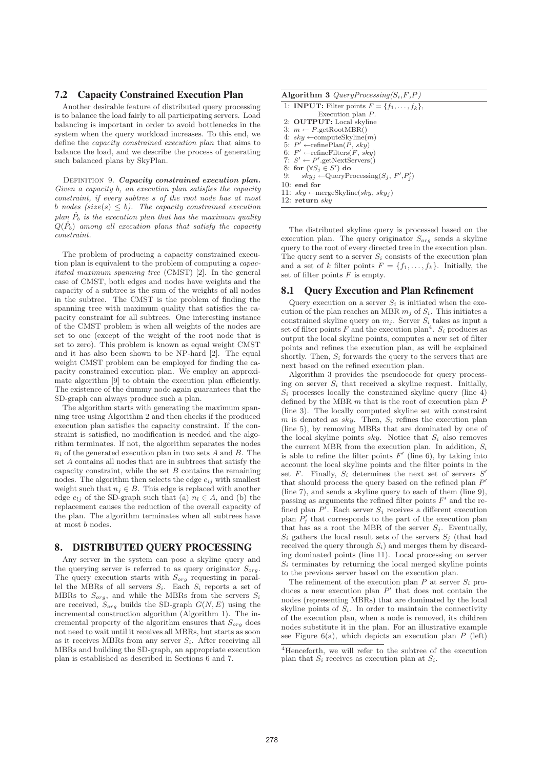### **7.2 Capacity Constrained Execution Plan**

Another desirable feature of distributed query processing is to balance the load fairly to all participating servers. Load balancing is important in order to avoid bottlenecks in the system when the query workload increases. To this end, we define the capacity constrained execution plan that aims to balance the load, and we describe the process of generating such balanced plans by SkyPlan.

DEFINITION 9. Capacity constrained execution plan. Given a capacity b, an execution plan satisfies the capacity constraint, if every subtree s of the root node has at most b nodes  $(size(s) \leq b)$ . The capacity constrained execution plan  $\hat{P}_b$  is the execution plan that has the maximum quality  $Q(\hat{P}_b)$  among all execution plans that satisfy the capacity constraint.

The problem of producing a capacity constrained execution plan is equivalent to the problem of computing a capacitated maximum spanning tree (CMST) [2]. In the general case of CMST, both edges and nodes have weights and the capacity of a subtree is the sum of the weights of all nodes in the subtree. The CMST is the problem of finding the spanning tree with maximum quality that satisfies the capacity constraint for all subtrees. One interesting instance of the CMST problem is when all weights of the nodes are set to one (except of the weight of the root node that is set to zero). This problem is known as equal weight CMST and it has also been shown to be NP-hard [2]. The equal weight CMST problem can be employed for finding the capacity constrained execution plan. We employ an approximate algorithm [9] to obtain the execution plan efficiently. The existence of the dummy node again guarantees that the SD-graph can always produce such a plan.

The algorithm starts with generating the maximum spanning tree using Algorithm 2 and then checks if the produced execution plan satisfies the capacity constraint. If the constraint is satisfied, no modification is needed and the algorithm terminates. If not, the algorithm separates the nodes  $n_i$  of the generated execution plan in two sets A and B. The set A contains all nodes that are in subtrees that satisfy the capacity constraint, while the set  $B$  contains the remaining nodes. The algorithm then selects the edge  $e_{ij}$  with smallest weight such that  $n_j \in B$ . This edge is replaced with another edge  $e_{lj}$  of the SD-graph such that (a)  $n_l \in A$ , and (b) the replacement causes the reduction of the overall capacity of the plan. The algorithm terminates when all subtrees have at most b nodes.

### **8. DISTRIBUTED QUERY PROCESSING**

Any server in the system can pose a skyline query and the querying server is referred to as query originator  $S_{org}$ . The query execution starts with  $S_{org}$  requesting in parallel the MBRs of all servers  $S_i$ . Each  $S_i$  reports a set of MBRs to  $S_{org}$ , and while the MBRs from the servers  $S_i$ are received,  $S_{org}$  builds the SD-graph  $G(N, E)$  using the incremental construction algorithm (Algorithm 1). The incremental property of the algorithm ensures that  $S_{org}$  does not need to wait until it receives all MBRs, but starts as soon as it receives MBRs from any server  $S_i$ . After receiving all MBRs and building the SD-graph, an appropriate execution plan is established as described in Sections 6 and 7.

| <b>Algorithm 3</b> QueryProcessing( $S_i$ ,F,P)             |  |  |  |  |
|-------------------------------------------------------------|--|--|--|--|
| 1: <b>INPUT:</b> Filter points $F = \{f_1, \ldots, f_k\},\$ |  |  |  |  |
| Execution plan $P$ .                                        |  |  |  |  |
| 2: <b>OUTPUT</b> : Local skyline                            |  |  |  |  |
| 3: $m \leftarrow P.\text{getRootMBR}()$                     |  |  |  |  |
| 4: $sky \leftarrow computeSkyline(m)$                       |  |  |  |  |
| 5: $P' \leftarrow$ refinePlan $(P, sky)$                    |  |  |  |  |
| 6: $F' \leftarrow$ refine Filters $(F, sky)$                |  |  |  |  |
| 7: $S' \leftarrow P'.getNextServers()$                      |  |  |  |  |
| 8: for $(\forall S_i \in S')$ do                            |  |  |  |  |
| 9: $sky_i \leftarrow \text{QueryProcessing}(S_i, F', P'_i)$ |  |  |  |  |
| $10:$ end for                                               |  |  |  |  |
| 11: $sky \leftarrow$ mergeSkyline( $sky, sky_i$ )           |  |  |  |  |
|                                                             |  |  |  |  |

12:  $return$   $sky$ 

The distributed skyline query is processed based on the execution plan. The query originator  $S_{org}$  sends a skyline query to the root of every directed tree in the execution plan. The query sent to a server  $S_i$  consists of the execution plan and a set of k filter points  $F = \{f_1, \ldots, f_k\}$ . Initially, the set of filter points  $F$  is empty.

### **8.1 Query Execution and Plan Refinement**

Query execution on a server  $S_i$  is initiated when the execution of the plan reaches an MBR  $m_i$  of  $S_i$ . This initiates a constrained skyline query on  $m_i$ . Server  $S_i$  takes as input a set of filter points F and the execution plan<sup>4</sup>.  $S_i$  produces as output the local skyline points, computes a new set of filter points and refines the execution plan, as will be explained shortly. Then,  $S_i$  forwards the query to the servers that are next based on the refined execution plan.

Algorithm 3 provides the pseudocode for query processing on server  $S_i$  that received a skyline request. Initially,  $S_i$  processes locally the constrained skyline query (line 4) defined by the MBR  $m$  that is the root of execution plan  $P$ (line 3). The locally computed skyline set with constraint m is denoted as  $sky$ . Then,  $S_i$  refines the execution plan (line 5), by removing MBRs that are dominated by one of the local skyline points sky. Notice that  $S_i$  also removes the current MBR from the execution plan. In addition,  $S_i$ is able to refine the filter points  $F'$  (line 6), by taking into account the local skyline points and the filter points in the set  $F$ . Finally,  $S_i$  determines the next set of servers  $S$ that should process the query based on the refined plan  ${\cal P}'$ (line 7), and sends a skyline query to each of them (line 9), passing as arguments the refined filter points  $F'$  and the refined plan  $P'$ . Each server  $S_j$  receives a different execution plan  $P'_j$  that corresponds to the part of the execution plan that has as a root the MBR of the server  $S_i$ . Eventually,  $S_i$  gathers the local result sets of the servers  $S_j$  (that had received the query through  $S_i$ ) and merges them by discarding dominated points (line 11). Local processing on server  $S_i$  terminates by returning the local merged skyline points to the previous server based on the execution plan.

The refinement of the execution plan  $P$  at server  $S_i$  produces a new execution plan  $P'$  that does not contain the nodes (representing MBRs) that are dominated by the local skyline points of  $S_i$ . In order to maintain the connectivity of the execution plan, when a node is removed, its children nodes substitute it in the plan. For an illustrative example see Figure  $6(a)$ , which depicts an execution plan P (left)

<sup>4</sup>Henceforth, we will refer to the subtree of the execution plan that  $S_i$  receives as execution plan at  $S_i$ .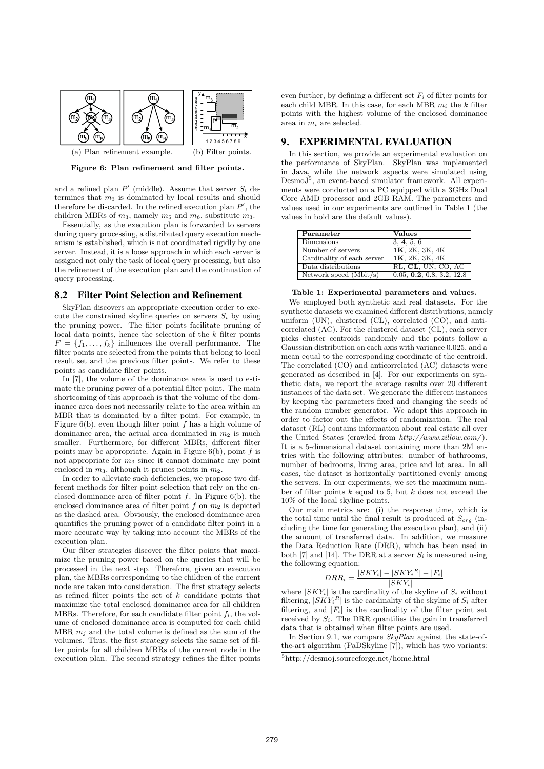

Figure 6: Plan refinement and filter points.

and a refined plan  $P'$  (middle). Assume that server  $S_i$  determines that  $m_3$  is dominated by local results and should therefore be discarded. In the refined execution plan  $P'$ , the children MBRs of  $m_3$ , namely  $m_5$  and  $m_6$ , substitute  $m_3$ .

Essentially, as the execution plan is forwarded to servers during query processing, a distributed query execution mechanism is established, which is not coordinated rigidly by one server. Instead, it is a loose approach in which each server is assigned not only the task of local query processing, but also the refinement of the execution plan and the continuation of query processing.

### **8.2 Filter Point Selection and Refinement**

SkyPlan discovers an appropriate execution order to execute the constrained skyline queries on servers  $S_i$  by using the pruning power. The filter points facilitate pruning of local data points, hence the selection of the  $k$  filter points  $F = \{f_1, \ldots, f_k\}$  influences the overall performance. The filter points are selected from the points that belong to local result set and the previous filter points. We refer to these points as candidate filter points.

In [7], the volume of the dominance area is used to estimate the pruning power of a potential filter point. The main shortcoming of this approach is that the volume of the dominance area does not necessarily relate to the area within an MBR that is dominated by a filter point. For example, in Figure  $6(b)$ , even though filter point f has a high volume of dominance area, the actual area dominated in  $m_2$  is much smaller. Furthermore, for different MBRs, different filter points may be appropriate. Again in Figure  $6(b)$ , point f is not appropriate for  $m_3$  since it cannot dominate any point enclosed in  $m_3$ , although it prunes points in  $m_2$ .

In order to alleviate such deficiencies, we propose two different methods for filter point selection that rely on the enclosed dominance area of filter point  $f$ . In Figure  $6(b)$ , the enclosed dominance area of filter point f on  $m_2$  is depicted as the dashed area. Obviously, the enclosed dominance area quantifies the pruning power of a candidate filter point in a more accurate way by taking into account the MBRs of the execution plan.

Our filter strategies discover the filter points that maximize the pruning power based on the queries that will be processed in the next step. Therefore, given an execution plan, the MBRs corresponding to the children of the current node are taken into consideration. The first strategy selects as refined filter points the set of  $k$  candidate points that maximize the total enclosed dominance area for all children MBRs. Therefore, for each candidate filter point  $f_i$ , the volume of enclosed dominance area is computed for each child MBR  $m_j$  and the total volume is defined as the sum of the volumes. Thus, the first strategy selects the same set of filter points for all children MBRs of the current node in the execution plan. The second strategy refines the filter points even further, by defining a different set  $F_i$  of filter points for each child MBR. In this case, for each MBR  $m_i$  the k filter points with the highest volume of the enclosed dominance area in  $m_i$  are selected.

### **9. EXPERIMENTAL EVALUATION**

In this section, we provide an experimental evaluation on the performance of SkyPlan. SkyPlan was implemented in Java, while the network aspects were simulated using DesmoJ<sup>5</sup>, an event-based simulator framework. All experiments were conducted on a PC equipped with a 3GHz Dual Core AMD processor and 2GB RAM. The parameters and values used in our experiments are outlined in Table 1 (the values in bold are the default values).

| Parameter                  | <b>Values</b>             |
|----------------------------|---------------------------|
| Dimensions                 | 3, 4, 5, 6                |
| Number of servers          | $1K$ , 2K, 3K, 4K         |
| Cardinality of each server | $1K$ , 2K, 3K, 4K         |
| Data distributions         | RL, CL, UN, CO, AC        |
| Network speed $(Mbit/s)$   | 0.05, 0.2, 0.8, 3.2, 12.8 |

### Table 1: Experimental parameters and values.

We employed both synthetic and real datasets. For the synthetic datasets we examined different distributions, namely uniform (UN), clustered (CL), correlated (CO), and anticorrelated (AC). For the clustered dataset (CL), each server picks cluster centroids randomly and the points follow a Gaussian distribution on each axis with variance 0.025, and a mean equal to the corresponding coordinate of the centroid. The correlated (CO) and anticorrelated (AC) datasets were generated as described in [4]. For our experiments on synthetic data, we report the average results over 20 different instances of the data set. We generate the different instances by keeping the parameters fixed and changing the seeds of the random number generator. We adopt this approach in order to factor out the effects of randomization. The real dataset (RL) contains information about real estate all over the United States (crawled from http://www.zillow.com/ ). It is a 5-dimensional dataset containing more than 2M entries with the following attributes: number of bathrooms, number of bedrooms, living area, price and lot area. In all cases, the dataset is horizontally partitioned evenly among the servers. In our experiments, we set the maximum number of filter points  $k$  equal to 5, but  $k$  does not exceed the 10% of the local skyline points.

Our main metrics are: (i) the response time, which is the total time until the final result is produced at  $S_{org}$  (including the time for generating the execution plan), and (ii) the amount of transferred data. In addition, we measure the Data Reduction Rate (DRR), which has been used in both [7] and [14]. The DRR at a server  $S_i$  is measured using the following equation:

$$
DRR_i = \frac{|SKY_i| - |SKY_i^R| - |F_i|}{|SKY_i|}
$$

where  $|SKY_i|$  is the cardinality of the skyline of  $S_i$  without filtering,  $|SKY_i^R|$  is the cardinality of the skyline of  $S_i$  after filtering, and  $|F_i|$  is the cardinality of the filter point set received by  $S_i$ . The DRR quantifies the gain in transferred data that is obtained when filter points are used.

In Section 9.1, we compare SkyPlan against the state-ofthe-art algorithm (PaDSkyline [7]), which has two variants:

<sup>5</sup>http://desmoj.sourceforge.net/home.html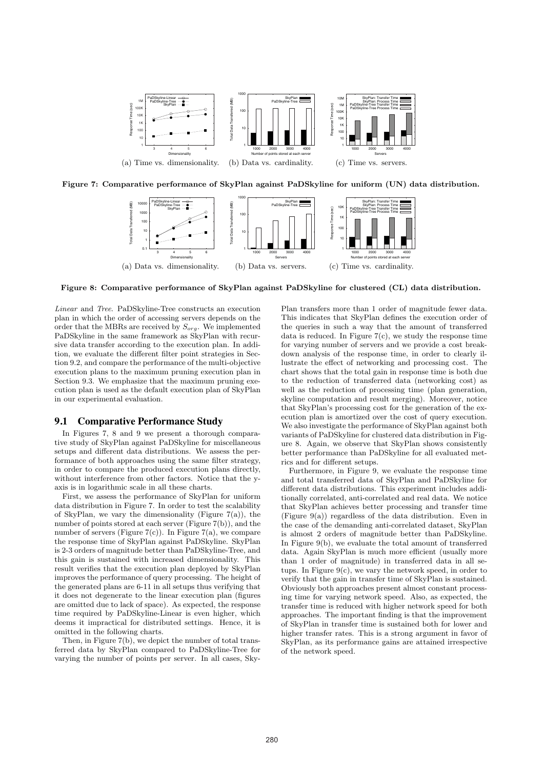

Figure 7: Comparative performance of SkyPlan against PaDSkyline for uniform (UN) data distribution.



Figure 8: Comparative performance of SkyPlan against PaDSkyline for clustered (CL) data distribution.

Linear and Tree. PaDSkyline-Tree constructs an execution plan in which the order of accessing servers depends on the order that the MBRs are received by  $S_{org}$ . We implemented PaDSkyline in the same framework as SkyPlan with recursive data transfer according to the execution plan. In addition, we evaluate the different filter point strategies in Section 9.2, and compare the performance of the multi-objective execution plans to the maximum pruning execution plan in Section 9.3. We emphasize that the maximum pruning execution plan is used as the default execution plan of SkyPlan in our experimental evaluation.

### **9.1 Comparative Performance Study**

In Figures 7, 8 and 9 we present a thorough comparative study of SkyPlan against PaDSkyline for miscellaneous setups and different data distributions. We assess the performance of both approaches using the same filter strategy, in order to compare the produced execution plans directly, without interference from other factors. Notice that the yaxis is in logarithmic scale in all these charts.

First, we assess the performance of SkyPlan for uniform data distribution in Figure 7. In order to test the scalability of SkyPlan, we vary the dimensionality (Figure 7(a)), the number of points stored at each server (Figure 7(b)), and the number of servers (Figure 7(c)). In Figure 7(a), we compare the response time of SkyPlan against PaDSkyline. SkyPlan is 2-3 orders of magnitude better than PaDSkyline-Tree, and this gain is sustained with increased dimensionality. This result verifies that the execution plan deployed by SkyPlan improves the performance of query processing. The height of the generated plans are 6-11 in all setups thus verifying that it does not degenerate to the linear execution plan (figures are omitted due to lack of space). As expected, the response time required by PaDSkyline-Linear is even higher, which deems it impractical for distributed settings. Hence, it is omitted in the following charts.

Then, in Figure 7(b), we depict the number of total transferred data by SkyPlan compared to PaDSkyline-Tree for varying the number of points per server. In all cases, SkyPlan transfers more than 1 order of magnitude fewer data. This indicates that SkyPlan defines the execution order of the queries in such a way that the amount of transferred data is reduced. In Figure  $7(c)$ , we study the response time for varying number of servers and we provide a cost breakdown analysis of the response time, in order to clearly illustrate the effect of networking and processing cost. The chart shows that the total gain in response time is both due to the reduction of transferred data (networking cost) as well as the reduction of processing time (plan generation, skyline computation and result merging). Moreover, notice that SkyPlan's processing cost for the generation of the execution plan is amortized over the cost of query execution. We also investigate the performance of SkyPlan against both variants of PaDSkyline for clustered data distribution in Figure 8. Again, we observe that SkyPlan shows consistently better performance than PaDSkyline for all evaluated metrics and for different setups.

Furthermore, in Figure 9, we evaluate the response time and total transferred data of SkyPlan and PaDSkyline for different data distributions. This experiment includes additionally correlated, anti-correlated and real data. We notice that SkyPlan achieves better processing and transfer time (Figure  $9(a)$ ) regardless of the data distribution. Even in the case of the demanding anti-correlated dataset, SkyPlan is almost 2 orders of magnitude better than PaDSkyline. In Figure 9(b), we evaluate the total amount of transferred data. Again SkyPlan is much more efficient (usually more than 1 order of magnitude) in transferred data in all setups. In Figure 9(c), we vary the network speed, in order to verify that the gain in transfer time of SkyPlan is sustained. Obviously both approaches present almost constant processing time for varying network speed. Also, as expected, the transfer time is reduced with higher network speed for both approaches. The important finding is that the improvement of SkyPlan in transfer time is sustained both for lower and higher transfer rates. This is a strong argument in favor of SkyPlan, as its performance gains are attained irrespective of the network speed.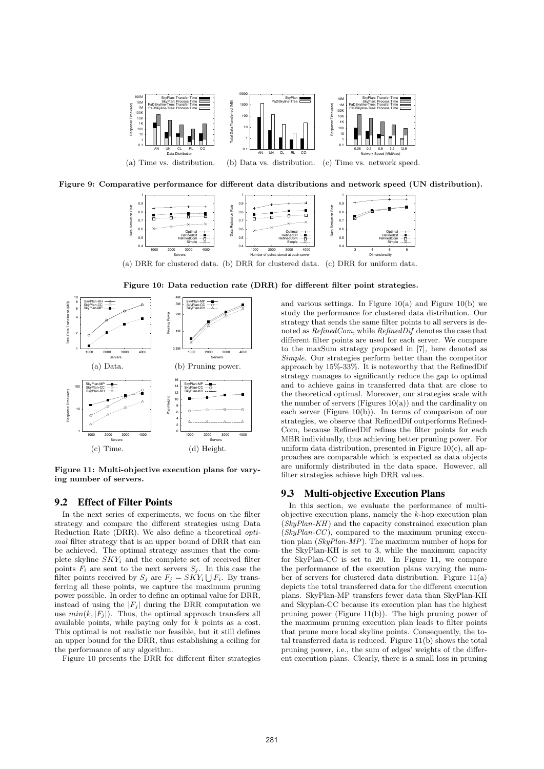

Figure 9: Comparative performance for different data distributions and network speed (UN distribution).



(a) DRR for clustered data. (b) DRR for clustered data. (c) DRR for uniform data.





Figure 11: Multi-objective execution plans for varying number of servers.

### **9.2 Effect of Filter Points**

In the next series of experiments, we focus on the filter strategy and compare the different strategies using Data Reduction Rate (DRR). We also define a theoretical optimal filter strategy that is an upper bound of DRR that can be achieved. The optimal strategy assumes that the complete skyline  $SKY_i$  and the complete set of received filter points  $F_i$  are sent to the next servers  $S_i$ . In this case the filter points received by  $S_j$  are  $F_j = SKY_i \bigcup F_i$ . By transferring all these points, we capture the maximum pruning power possible. In order to define an optimal value for DRR, instead of using the  $|F_j|$  during the DRR computation we use  $min(k, |F_j|)$ . Thus, the optimal approach transfers all available points, while paying only for k points as a cost. This optimal is not realistic nor feasible, but it still defines an upper bound for the DRR, thus establishing a ceiling for the performance of any algorithm.

Figure 10 presents the DRR for different filter strategies

and various settings. In Figure  $10(a)$  and Figure  $10(b)$  we study the performance for clustered data distribution. Our strategy that sends the same filter points to all servers is denoted as  $RefinedCom$ , while  $RefinedDiff$  denotes the case that different filter points are used for each server. We compare to the maxSum strategy proposed in [7], here denoted as Simple. Our strategies perform better than the competitor approach by 15%-33%. It is noteworthy that the RefinedDif strategy manages to significantly reduce the gap to optimal and to achieve gains in transferred data that are close to the theoretical optimal. Moreover, our strategies scale with the number of servers (Figures  $10(a)$ ) and the cardinality on each server (Figure 10(b)). In terms of comparison of our strategies, we observe that RefinedDif outperforms Refined-Com, because RefinedDif refines the filter points for each MBR individually, thus achieving better pruning power. For uniform data distribution, presented in Figure  $10(c)$ , all approaches are comparable which is expected as data objects are uniformly distributed in the data space. However, all filter strategies achieve high DRR values.

### **9.3 Multi-objective Execution Plans**

In this section, we evaluate the performance of multiobjective execution plans, namely the k-hop execution plan  $(SkyPlan-KH)$  and the capacity constrained execution plan  $(SkyPlan-CC)$ , compared to the maximum pruning execution plan (SkyPlan-MP). The maximum number of hops for the SkyPlan-KH is set to 3, while the maximum capacity for SkyPlan-CC is set to 20. In Figure 11, we compare the performance of the execution plans varying the number of servers for clustered data distribution. Figure 11(a) depicts the total transferred data for the different execution plans. SkyPlan-MP transfers fewer data than SkyPlan-KH and Skyplan-CC because its execution plan has the highest pruning power (Figure 11(b)). The high pruning power of the maximum pruning execution plan leads to filter points that prune more local skyline points. Consequently, the total transferred data is reduced. Figure 11(b) shows the total pruning power, i.e., the sum of edges' weights of the different execution plans. Clearly, there is a small loss in pruning